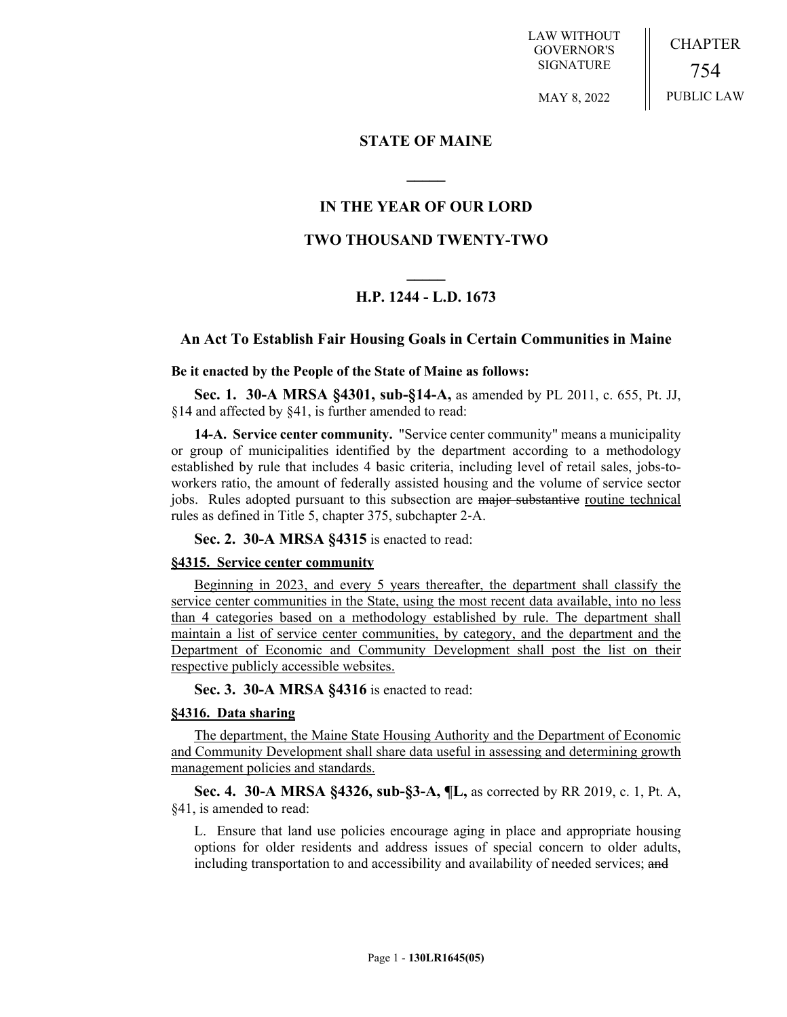LAW WITHOUT GOVERNOR'S SIGNATURE

CHAPTER 754 PUBLIC LAW

MAY 8, 2022

## **STATE OF MAINE**

# **IN THE YEAR OF OUR LORD**

**\_\_\_\_\_**

## **TWO THOUSAND TWENTY-TWO**

# **\_\_\_\_\_ H.P. 1244 - L.D. 1673**

## **An Act To Establish Fair Housing Goals in Certain Communities in Maine**

#### **Be it enacted by the People of the State of Maine as follows:**

**Sec. 1. 30-A MRSA §4301, sub-§14-A,** as amended by PL 2011, c. 655, Pt. JJ, §14 and affected by §41, is further amended to read:

**14-A. Service center community.** "Service center community" means a municipality or group of municipalities identified by the department according to a methodology established by rule that includes 4 basic criteria, including level of retail sales, jobs-toworkers ratio, the amount of federally assisted housing and the volume of service sector jobs. Rules adopted pursuant to this subsection are major substantive routine technical rules as defined in Title 5, chapter 375, subchapter 2‑A.

**Sec. 2. 30-A MRSA §4315** is enacted to read:

#### **§4315. Service center community**

Beginning in 2023, and every 5 years thereafter, the department shall classify the service center communities in the State, using the most recent data available, into no less than 4 categories based on a methodology established by rule. The department shall maintain a list of service center communities, by category, and the department and the Department of Economic and Community Development shall post the list on their respective publicly accessible websites.

**Sec. 3. 30-A MRSA §4316** is enacted to read:

### **§4316. Data sharing**

The department, the Maine State Housing Authority and the Department of Economic and Community Development shall share data useful in assessing and determining growth management policies and standards.

**Sec. 4. 30-A MRSA §4326, sub-§3-A, ¶L,** as corrected by RR 2019, c. 1, Pt. A, §41, is amended to read:

L. Ensure that land use policies encourage aging in place and appropriate housing options for older residents and address issues of special concern to older adults, including transportation to and accessibility and availability of needed services; and